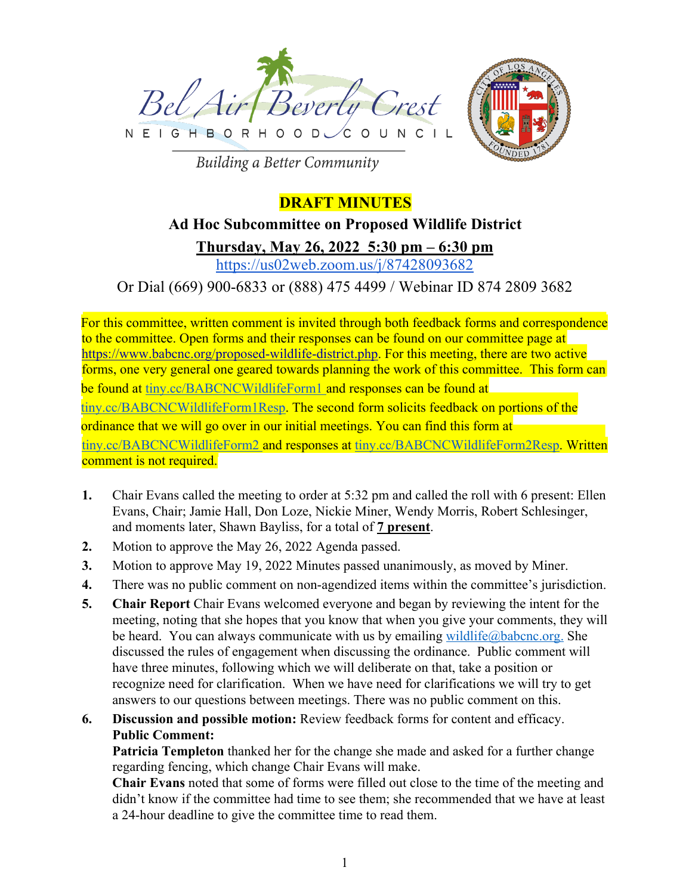



**Building a Better Community** 

## **DRAFT MINUTES**

# **Ad Hoc Subcommittee on Proposed Wildlife District Thursday, May 26, 2022 5:30 pm – 6:30 pm**

https://us02web.zoom.us/j/87428093682

Or Dial (669) 900-6833 or (888) 475 4499 / Webinar ID 874 2809 3682

For this committee, written comment is invited through both feedback forms and correspondence to the committee. Open forms and their responses can be found on our committee page at https://www.babcnc.org/proposed-wildlife-district.php. For this meeting, there are two active forms, one very general one geared towards planning the work of this committee. This form can be found at tiny.cc/BABCNCWildlifeForm1 and responses can be found at tiny.cc/BABCNCWildlifeForm1Resp. The second form solicits feedback on portions of the ordinance that we will go over in our initial meetings. You can find this form at tiny.cc/BABCNCWildlifeForm2 and responses at tiny.cc/BABCNCWildlifeForm2Resp. Written comment is not required.

- **1.** Chair Evans called the meeting to order at 5:32 pm and called the roll with 6 present: Ellen Evans, Chair; Jamie Hall, Don Loze, Nickie Miner, Wendy Morris, Robert Schlesinger, and moments later, Shawn Bayliss, for a total of **7 present**.
- **2.** Motion to approve the May 26, 2022 Agenda passed.
- **3.** Motion to approve May 19, 2022 Minutes passed unanimously, as moved by Miner.
- **4.** There was no public comment on non-agendized items within the committee's jurisdiction.
- **5. Chair Report** Chair Evans welcomed everyone and began by reviewing the intent for the meeting, noting that she hopes that you know that when you give your comments, they will be heard. You can always communicate with us by emailing wildlife@babcnc.org. She discussed the rules of engagement when discussing the ordinance. Public comment will have three minutes, following which we will deliberate on that, take a position or recognize need for clarification. When we have need for clarifications we will try to get answers to our questions between meetings. There was no public comment on this.
- **6. Discussion and possible motion:** Review feedback forms for content and efficacy. **Public Comment:**

**Patricia Templeton** thanked her for the change she made and asked for a further change regarding fencing, which change Chair Evans will make.

**Chair Evans** noted that some of forms were filled out close to the time of the meeting and didn't know if the committee had time to see them; she recommended that we have at least a 24-hour deadline to give the committee time to read them.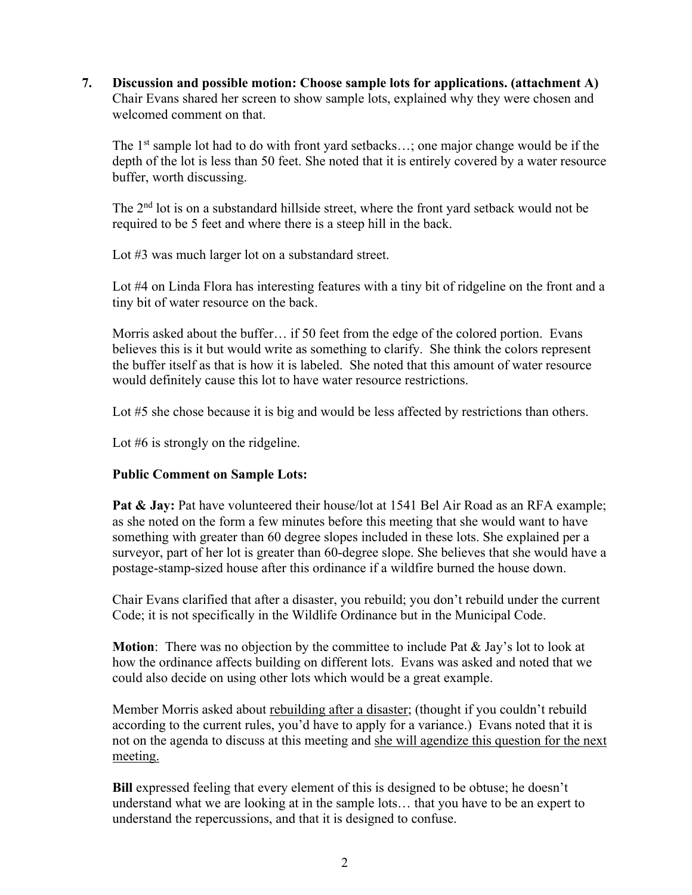**7. Discussion and possible motion: Choose sample lots for applications. (attachment A)** Chair Evans shared her screen to show sample lots, explained why they were chosen and welcomed comment on that.

The 1<sup>st</sup> sample lot had to do with front yard setbacks...; one major change would be if the depth of the lot is less than 50 feet. She noted that it is entirely covered by a water resource buffer, worth discussing.

The 2<sup>nd</sup> lot is on a substandard hillside street, where the front yard setback would not be required to be 5 feet and where there is a steep hill in the back.

Lot #3 was much larger lot on a substandard street.

Lot #4 on Linda Flora has interesting features with a tiny bit of ridgeline on the front and a tiny bit of water resource on the back.

Morris asked about the buffer… if 50 feet from the edge of the colored portion. Evans believes this is it but would write as something to clarify. She think the colors represent the buffer itself as that is how it is labeled. She noted that this amount of water resource would definitely cause this lot to have water resource restrictions.

Lot #5 she chose because it is big and would be less affected by restrictions than others.

Lot #6 is strongly on the ridgeline.

### **Public Comment on Sample Lots:**

Pat & Jay: Pat have volunteered their house/lot at 1541 Bel Air Road as an RFA example; as she noted on the form a few minutes before this meeting that she would want to have something with greater than 60 degree slopes included in these lots. She explained per a surveyor, part of her lot is greater than 60-degree slope. She believes that she would have a postage-stamp-sized house after this ordinance if a wildfire burned the house down.

Chair Evans clarified that after a disaster, you rebuild; you don't rebuild under the current Code; it is not specifically in the Wildlife Ordinance but in the Municipal Code.

**Motion**: There was no objection by the committee to include Pat & Jay's lot to look at how the ordinance affects building on different lots. Evans was asked and noted that we could also decide on using other lots which would be a great example.

Member Morris asked about rebuilding after a disaster; (thought if you couldn't rebuild according to the current rules, you'd have to apply for a variance.) Evans noted that it is not on the agenda to discuss at this meeting and she will agendize this question for the next meeting.

**Bill** expressed feeling that every element of this is designed to be obtuse; he doesn't understand what we are looking at in the sample lots… that you have to be an expert to understand the repercussions, and that it is designed to confuse.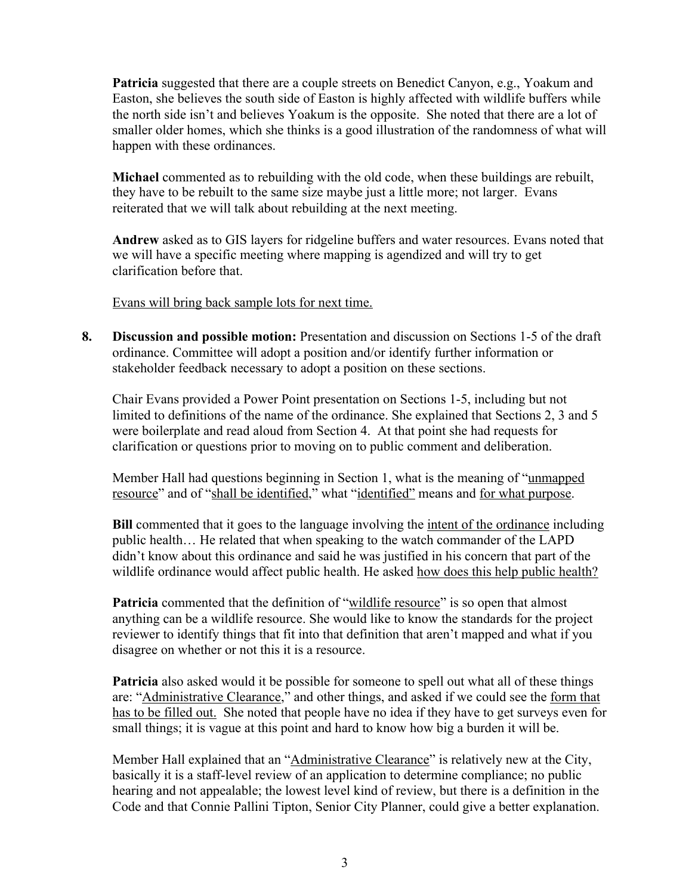**Patricia** suggested that there are a couple streets on Benedict Canyon, e.g., Yoakum and Easton, she believes the south side of Easton is highly affected with wildlife buffers while the north side isn't and believes Yoakum is the opposite. She noted that there are a lot of smaller older homes, which she thinks is a good illustration of the randomness of what will happen with these ordinances.

**Michael** commented as to rebuilding with the old code, when these buildings are rebuilt, they have to be rebuilt to the same size maybe just a little more; not larger. Evans reiterated that we will talk about rebuilding at the next meeting.

**Andrew** asked as to GIS layers for ridgeline buffers and water resources. Evans noted that we will have a specific meeting where mapping is agendized and will try to get clarification before that.

Evans will bring back sample lots for next time.

**8. Discussion and possible motion:** Presentation and discussion on Sections 1-5 of the draft ordinance. Committee will adopt a position and/or identify further information or stakeholder feedback necessary to adopt a position on these sections.

Chair Evans provided a Power Point presentation on Sections 1-5, including but not limited to definitions of the name of the ordinance. She explained that Sections 2, 3 and 5 were boilerplate and read aloud from Section 4. At that point she had requests for clarification or questions prior to moving on to public comment and deliberation.

Member Hall had questions beginning in Section 1, what is the meaning of "unmapped resource" and of "shall be identified," what "identified" means and for what purpose.

**Bill** commented that it goes to the language involving the <u>intent of the ordinance</u> including public health… He related that when speaking to the watch commander of the LAPD didn't know about this ordinance and said he was justified in his concern that part of the wildlife ordinance would affect public health. He asked how does this help public health?

**Patricia** commented that the definition of "wildlife resource" is so open that almost anything can be a wildlife resource. She would like to know the standards for the project reviewer to identify things that fit into that definition that aren't mapped and what if you disagree on whether or not this it is a resource.

**Patricia** also asked would it be possible for someone to spell out what all of these things are: "Administrative Clearance," and other things, and asked if we could see the form that has to be filled out. She noted that people have no idea if they have to get surveys even for small things; it is vague at this point and hard to know how big a burden it will be.

Member Hall explained that an "Administrative Clearance" is relatively new at the City, basically it is a staff-level review of an application to determine compliance; no public hearing and not appealable; the lowest level kind of review, but there is a definition in the Code and that Connie Pallini Tipton, Senior City Planner, could give a better explanation.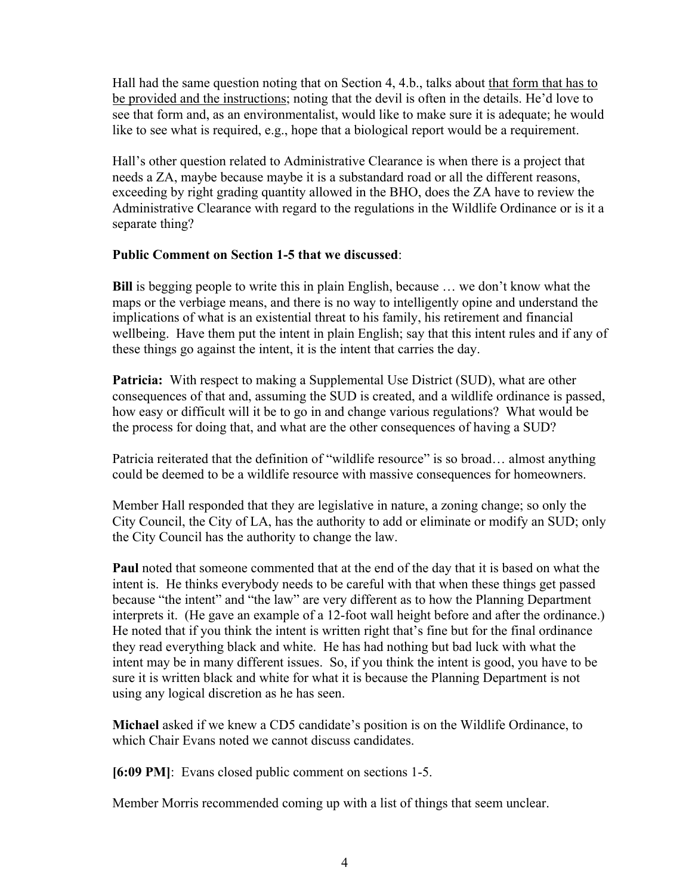Hall had the same question noting that on Section 4, 4.b., talks about that form that has to be provided and the instructions; noting that the devil is often in the details. He'd love to see that form and, as an environmentalist, would like to make sure it is adequate; he would like to see what is required, e.g., hope that a biological report would be a requirement.

Hall's other question related to Administrative Clearance is when there is a project that needs a ZA, maybe because maybe it is a substandard road or all the different reasons, exceeding by right grading quantity allowed in the BHO, does the ZA have to review the Administrative Clearance with regard to the regulations in the Wildlife Ordinance or is it a separate thing?

#### **Public Comment on Section 1-5 that we discussed**:

**Bill** is begging people to write this in plain English, because … we don't know what the maps or the verbiage means, and there is no way to intelligently opine and understand the implications of what is an existential threat to his family, his retirement and financial wellbeing. Have them put the intent in plain English; say that this intent rules and if any of these things go against the intent, it is the intent that carries the day.

**Patricia:** With respect to making a Supplemental Use District (SUD), what are other consequences of that and, assuming the SUD is created, and a wildlife ordinance is passed, how easy or difficult will it be to go in and change various regulations? What would be the process for doing that, and what are the other consequences of having a SUD?

Patricia reiterated that the definition of "wildlife resource" is so broad... almost anything could be deemed to be a wildlife resource with massive consequences for homeowners.

Member Hall responded that they are legislative in nature, a zoning change; so only the City Council, the City of LA, has the authority to add or eliminate or modify an SUD; only the City Council has the authority to change the law.

**Paul** noted that someone commented that at the end of the day that it is based on what the intent is. He thinks everybody needs to be careful with that when these things get passed because "the intent" and "the law" are very different as to how the Planning Department interprets it. (He gave an example of a 12-foot wall height before and after the ordinance.) He noted that if you think the intent is written right that's fine but for the final ordinance they read everything black and white. He has had nothing but bad luck with what the intent may be in many different issues. So, if you think the intent is good, you have to be sure it is written black and white for what it is because the Planning Department is not using any logical discretion as he has seen.

**Michael** asked if we knew a CD5 candidate's position is on the Wildlife Ordinance, to which Chair Evans noted we cannot discuss candidates.

**[6:09 PM]**: Evans closed public comment on sections 1-5.

Member Morris recommended coming up with a list of things that seem unclear.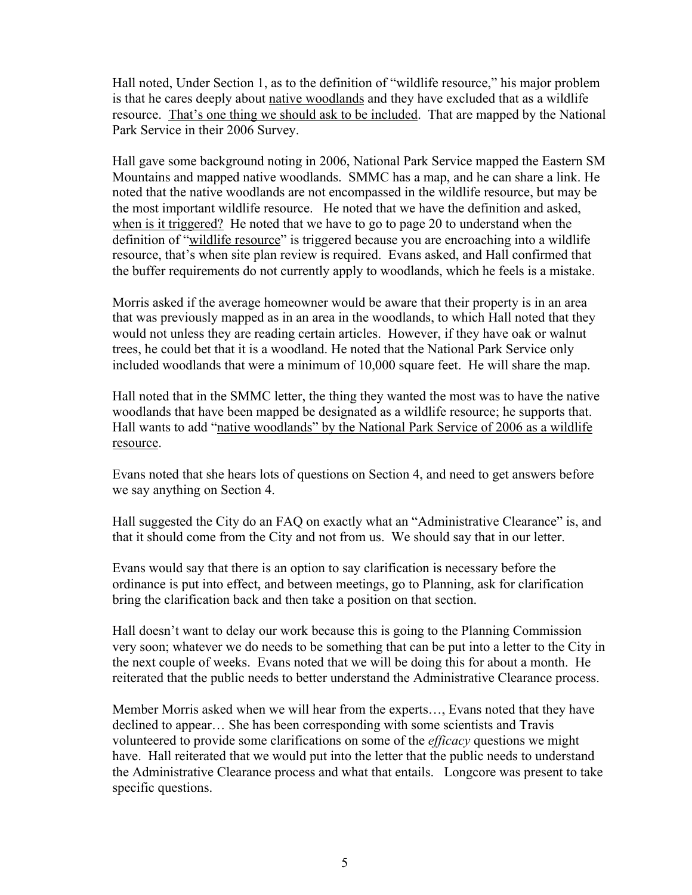Hall noted, Under Section 1, as to the definition of "wildlife resource," his major problem is that he cares deeply about native woodlands and they have excluded that as a wildlife resource. That's one thing we should ask to be included. That are mapped by the National Park Service in their 2006 Survey.

Hall gave some background noting in 2006, National Park Service mapped the Eastern SM Mountains and mapped native woodlands. SMMC has a map, and he can share a link. He noted that the native woodlands are not encompassed in the wildlife resource, but may be the most important wildlife resource. He noted that we have the definition and asked, when is it triggered? He noted that we have to go to page 20 to understand when the definition of "wildlife resource" is triggered because you are encroaching into a wildlife resource, that's when site plan review is required. Evans asked, and Hall confirmed that the buffer requirements do not currently apply to woodlands, which he feels is a mistake.

Morris asked if the average homeowner would be aware that their property is in an area that was previously mapped as in an area in the woodlands, to which Hall noted that they would not unless they are reading certain articles. However, if they have oak or walnut trees, he could bet that it is a woodland. He noted that the National Park Service only included woodlands that were a minimum of 10,000 square feet. He will share the map.

Hall noted that in the SMMC letter, the thing they wanted the most was to have the native woodlands that have been mapped be designated as a wildlife resource; he supports that. Hall wants to add "native woodlands" by the National Park Service of 2006 as a wildlife resource.

Evans noted that she hears lots of questions on Section 4, and need to get answers before we say anything on Section 4.

Hall suggested the City do an FAQ on exactly what an "Administrative Clearance" is, and that it should come from the City and not from us. We should say that in our letter.

Evans would say that there is an option to say clarification is necessary before the ordinance is put into effect, and between meetings, go to Planning, ask for clarification bring the clarification back and then take a position on that section.

Hall doesn't want to delay our work because this is going to the Planning Commission very soon; whatever we do needs to be something that can be put into a letter to the City in the next couple of weeks. Evans noted that we will be doing this for about a month. He reiterated that the public needs to better understand the Administrative Clearance process.

Member Morris asked when we will hear from the experts…, Evans noted that they have declined to appear… She has been corresponding with some scientists and Travis volunteered to provide some clarifications on some of the *efficacy* questions we might have. Hall reiterated that we would put into the letter that the public needs to understand the Administrative Clearance process and what that entails. Longcore was present to take specific questions.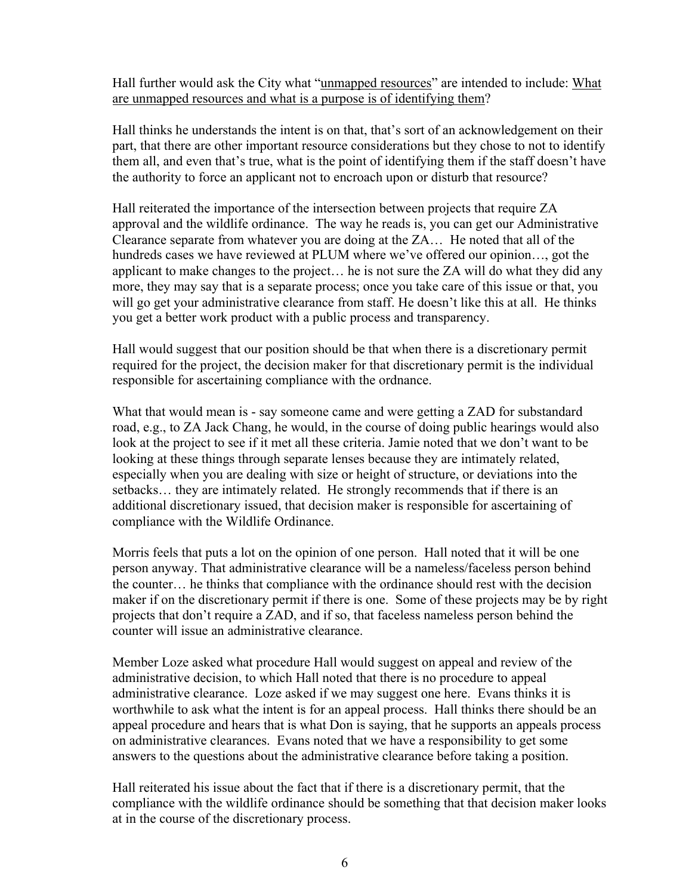Hall further would ask the City what "unmapped resources" are intended to include: What are unmapped resources and what is a purpose is of identifying them?

Hall thinks he understands the intent is on that, that's sort of an acknowledgement on their part, that there are other important resource considerations but they chose to not to identify them all, and even that's true, what is the point of identifying them if the staff doesn't have the authority to force an applicant not to encroach upon or disturb that resource?

Hall reiterated the importance of the intersection between projects that require ZA approval and the wildlife ordinance. The way he reads is, you can get our Administrative Clearance separate from whatever you are doing at the ZA… He noted that all of the hundreds cases we have reviewed at PLUM where we've offered our opinion…, got the applicant to make changes to the project… he is not sure the ZA will do what they did any more, they may say that is a separate process; once you take care of this issue or that, you will go get your administrative clearance from staff. He doesn't like this at all. He thinks you get a better work product with a public process and transparency.

Hall would suggest that our position should be that when there is a discretionary permit required for the project, the decision maker for that discretionary permit is the individual responsible for ascertaining compliance with the ordnance.

What that would mean is - say someone came and were getting a ZAD for substandard road, e.g., to ZA Jack Chang, he would, in the course of doing public hearings would also look at the project to see if it met all these criteria. Jamie noted that we don't want to be looking at these things through separate lenses because they are intimately related, especially when you are dealing with size or height of structure, or deviations into the setbacks… they are intimately related. He strongly recommends that if there is an additional discretionary issued, that decision maker is responsible for ascertaining of compliance with the Wildlife Ordinance.

Morris feels that puts a lot on the opinion of one person. Hall noted that it will be one person anyway. That administrative clearance will be a nameless/faceless person behind the counter… he thinks that compliance with the ordinance should rest with the decision maker if on the discretionary permit if there is one. Some of these projects may be by right projects that don't require a ZAD, and if so, that faceless nameless person behind the counter will issue an administrative clearance.

Member Loze asked what procedure Hall would suggest on appeal and review of the administrative decision, to which Hall noted that there is no procedure to appeal administrative clearance. Loze asked if we may suggest one here. Evans thinks it is worthwhile to ask what the intent is for an appeal process. Hall thinks there should be an appeal procedure and hears that is what Don is saying, that he supports an appeals process on administrative clearances. Evans noted that we have a responsibility to get some answers to the questions about the administrative clearance before taking a position.

Hall reiterated his issue about the fact that if there is a discretionary permit, that the compliance with the wildlife ordinance should be something that that decision maker looks at in the course of the discretionary process.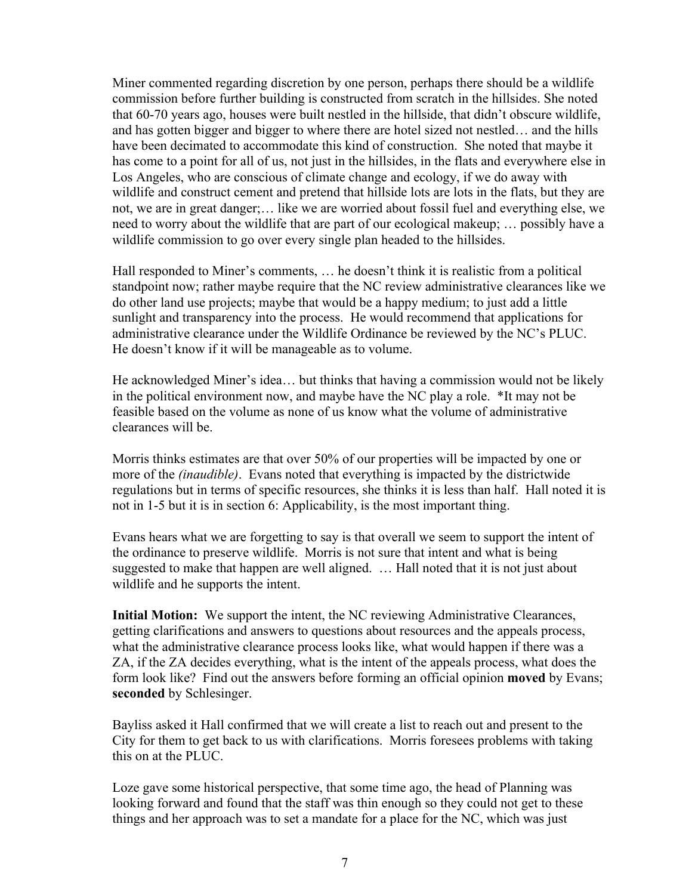Miner commented regarding discretion by one person, perhaps there should be a wildlife commission before further building is constructed from scratch in the hillsides. She noted that 60-70 years ago, houses were built nestled in the hillside, that didn't obscure wildlife, and has gotten bigger and bigger to where there are hotel sized not nestled… and the hills have been decimated to accommodate this kind of construction. She noted that maybe it has come to a point for all of us, not just in the hillsides, in the flats and everywhere else in Los Angeles, who are conscious of climate change and ecology, if we do away with wildlife and construct cement and pretend that hillside lots are lots in the flats, but they are not, we are in great danger;… like we are worried about fossil fuel and everything else, we need to worry about the wildlife that are part of our ecological makeup; … possibly have a wildlife commission to go over every single plan headed to the hillsides.

Hall responded to Miner's comments, … he doesn't think it is realistic from a political standpoint now; rather maybe require that the NC review administrative clearances like we do other land use projects; maybe that would be a happy medium; to just add a little sunlight and transparency into the process. He would recommend that applications for administrative clearance under the Wildlife Ordinance be reviewed by the NC's PLUC. He doesn't know if it will be manageable as to volume.

He acknowledged Miner's idea… but thinks that having a commission would not be likely in the political environment now, and maybe have the NC play a role. \*It may not be feasible based on the volume as none of us know what the volume of administrative clearances will be.

Morris thinks estimates are that over 50% of our properties will be impacted by one or more of the *(inaudible)*. Evans noted that everything is impacted by the districtwide regulations but in terms of specific resources, she thinks it is less than half. Hall noted it is not in 1-5 but it is in section 6: Applicability, is the most important thing.

Evans hears what we are forgetting to say is that overall we seem to support the intent of the ordinance to preserve wildlife. Morris is not sure that intent and what is being suggested to make that happen are well aligned. … Hall noted that it is not just about wildlife and he supports the intent.

**Initial Motion:** We support the intent, the NC reviewing Administrative Clearances, getting clarifications and answers to questions about resources and the appeals process, what the administrative clearance process looks like, what would happen if there was a ZA, if the ZA decides everything, what is the intent of the appeals process, what does the form look like? Find out the answers before forming an official opinion **moved** by Evans; **seconded** by Schlesinger.

Bayliss asked it Hall confirmed that we will create a list to reach out and present to the City for them to get back to us with clarifications. Morris foresees problems with taking this on at the PLUC.

Loze gave some historical perspective, that some time ago, the head of Planning was looking forward and found that the staff was thin enough so they could not get to these things and her approach was to set a mandate for a place for the NC, which was just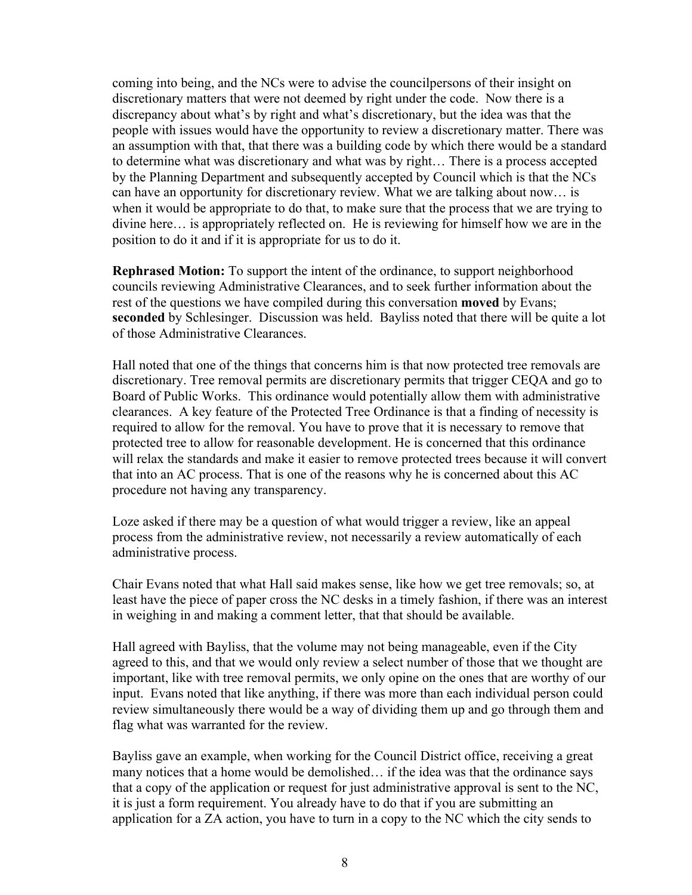coming into being, and the NCs were to advise the councilpersons of their insight on discretionary matters that were not deemed by right under the code. Now there is a discrepancy about what's by right and what's discretionary, but the idea was that the people with issues would have the opportunity to review a discretionary matter. There was an assumption with that, that there was a building code by which there would be a standard to determine what was discretionary and what was by right… There is a process accepted by the Planning Department and subsequently accepted by Council which is that the NCs can have an opportunity for discretionary review. What we are talking about now… is when it would be appropriate to do that, to make sure that the process that we are trying to divine here… is appropriately reflected on. He is reviewing for himself how we are in the position to do it and if it is appropriate for us to do it.

**Rephrased Motion:** To support the intent of the ordinance, to support neighborhood councils reviewing Administrative Clearances, and to seek further information about the rest of the questions we have compiled during this conversation **moved** by Evans; **seconded** by Schlesinger. Discussion was held. Bayliss noted that there will be quite a lot of those Administrative Clearances.

Hall noted that one of the things that concerns him is that now protected tree removals are discretionary. Tree removal permits are discretionary permits that trigger CEQA and go to Board of Public Works. This ordinance would potentially allow them with administrative clearances. A key feature of the Protected Tree Ordinance is that a finding of necessity is required to allow for the removal. You have to prove that it is necessary to remove that protected tree to allow for reasonable development. He is concerned that this ordinance will relax the standards and make it easier to remove protected trees because it will convert that into an AC process. That is one of the reasons why he is concerned about this AC procedure not having any transparency.

Loze asked if there may be a question of what would trigger a review, like an appeal process from the administrative review, not necessarily a review automatically of each administrative process.

Chair Evans noted that what Hall said makes sense, like how we get tree removals; so, at least have the piece of paper cross the NC desks in a timely fashion, if there was an interest in weighing in and making a comment letter, that that should be available.

Hall agreed with Bayliss, that the volume may not being manageable, even if the City agreed to this, and that we would only review a select number of those that we thought are important, like with tree removal permits, we only opine on the ones that are worthy of our input. Evans noted that like anything, if there was more than each individual person could review simultaneously there would be a way of dividing them up and go through them and flag what was warranted for the review.

Bayliss gave an example, when working for the Council District office, receiving a great many notices that a home would be demolished… if the idea was that the ordinance says that a copy of the application or request for just administrative approval is sent to the NC, it is just a form requirement. You already have to do that if you are submitting an application for a ZA action, you have to turn in a copy to the NC which the city sends to